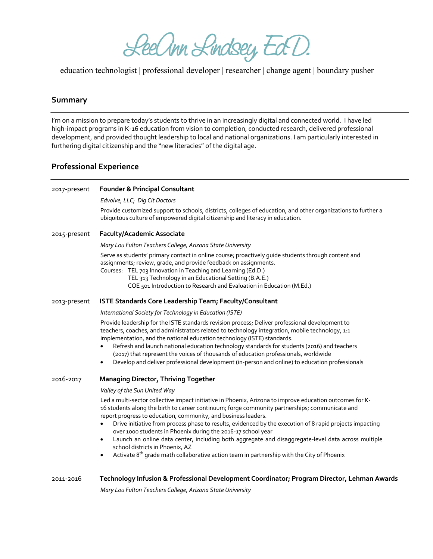LeeOnn Lindsey EdD.

education technologist | professional developer | researcher | change agent | boundary pusher

## **Summary**

I'm on a mission to prepare today's students to thrive in an increasingly digital and connected world. I have led high-impact programs in K-16 education from vision to completion, conducted research, delivered professional development, and provided thought leadership to local and national organizations. I am particularly interested in furthering digital citizenship and the "new literacies" of the digital age.

## **Professional Experience**

| 2017-present | <b>Founder &amp; Principal Consultant</b>                                                                                                                                                                                                                                                                                                                                                                                                                                                                                                                                                                                                                                                                                         |
|--------------|-----------------------------------------------------------------------------------------------------------------------------------------------------------------------------------------------------------------------------------------------------------------------------------------------------------------------------------------------------------------------------------------------------------------------------------------------------------------------------------------------------------------------------------------------------------------------------------------------------------------------------------------------------------------------------------------------------------------------------------|
|              | Edvolve, LLC; Dig Cit Doctors                                                                                                                                                                                                                                                                                                                                                                                                                                                                                                                                                                                                                                                                                                     |
|              | Provide customized support to schools, districts, colleges of education, and other organizations to further a<br>ubiquitous culture of empowered digital citizenship and literacy in education.                                                                                                                                                                                                                                                                                                                                                                                                                                                                                                                                   |
| 2015-present | <b>Faculty/Academic Associate</b>                                                                                                                                                                                                                                                                                                                                                                                                                                                                                                                                                                                                                                                                                                 |
|              | Mary Lou Fulton Teachers College, Arizona State University                                                                                                                                                                                                                                                                                                                                                                                                                                                                                                                                                                                                                                                                        |
|              | Serve as students' primary contact in online course; proactively guide students through content and<br>assignments; review, grade, and provide feedback on assignments.<br>Courses: TEL 703 Innovation in Teaching and Learning (Ed.D.)<br>TEL 313 Technology in an Educational Setting (B.A.E.)<br>COE 501 Introduction to Research and Evaluation in Education (M.Ed.)                                                                                                                                                                                                                                                                                                                                                          |
| 2013-present | ISTE Standards Core Leadership Team; Faculty/Consultant                                                                                                                                                                                                                                                                                                                                                                                                                                                                                                                                                                                                                                                                           |
|              | International Society for Technology in Education (ISTE)                                                                                                                                                                                                                                                                                                                                                                                                                                                                                                                                                                                                                                                                          |
|              | Provide leadership for the ISTE standards revision process; Deliver professional development to<br>teachers, coaches, and administrators related to technology integration, mobile technology, 1:1<br>implementation, and the national education technology (ISTE) standards.<br>Refresh and launch national education technology standards for students (2016) and teachers<br>(2017) that represent the voices of thousands of education professionals, worldwide<br>Develop and deliver professional development (in-person and online) to education professionals<br>$\bullet$                                                                                                                                                |
| 2016-2017    | <b>Managing Director, Thriving Together</b>                                                                                                                                                                                                                                                                                                                                                                                                                                                                                                                                                                                                                                                                                       |
|              | Valley of the Sun United Way                                                                                                                                                                                                                                                                                                                                                                                                                                                                                                                                                                                                                                                                                                      |
|              | Led a multi-sector collective impact initiative in Phoenix, Arizona to improve education outcomes for K-<br>16 students along the birth to career continuum; forge community partnerships; communicate and<br>report progress to education, community, and business leaders.<br>Drive initiative from process phase to results, evidenced by the execution of 8 rapid projects impacting<br>٠<br>over 1000 students in Phoenix during the 2016-17 school year<br>Launch an online data center, including both aggregate and disaggregate-level data across multiple<br>٠<br>school districts in Phoenix, AZ<br>Activate 8 <sup>th</sup> grade math collaborative action team in partnership with the City of Phoenix<br>$\bullet$ |
| 2011-2016    | Technology Infusion & Professional Development Coordinator; Program Director, Lehman Awards                                                                                                                                                                                                                                                                                                                                                                                                                                                                                                                                                                                                                                       |

*Mary Lou Fulton Teachers College, Arizona State University*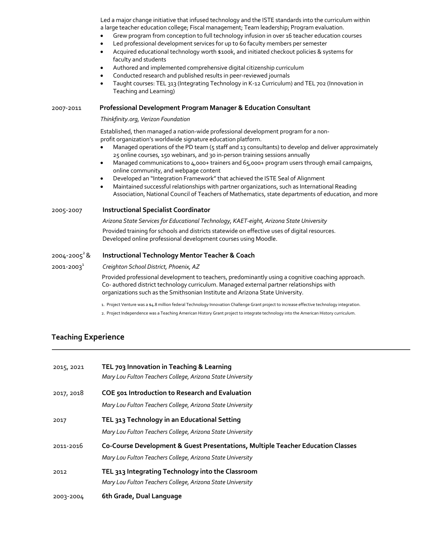Led a major change initiative that infused technology and the ISTE standards into the curriculum within a large teacher education college; Fiscal management; Team leadership; Program evaluation.

- Grew program from conception to full technology infusion in over 16 teacher education courses
- Led professional development services for up to 60 faculty members per semester
- Acquired educational technology worth \$100k, and initiated checkout policies & systems for faculty and students
- Authored and implemented comprehensive digital citizenship curriculum
- Conducted research and published results in peer-reviewed journals
- Taught courses: TEL 313 (Integrating Technology in K-12 Curriculum) and TEL 702 (Innovation in Teaching and Learning)

#### 2007-2011 **Professional Development Program Manager & Education Consultant**

*Thinkfinity.org, Verizon Foundation*

Established, then managed a nation-wide professional development program for a nonprofit organization's worldwide signature education platform.

- Managed operations of the PD team (5 staff and 13 consultants) to develop and deliver approximately 25 online courses, 150 webinars, and 30 in-person training sessions annually
- Managed communications to 4,000+ trainers and 65,000+ program users through email campaigns, online community, and webpage content
- Developed an "Integration Framework" that achieved the ISTE Seal of Alignment
- Maintained successful relationships with partner organizations, such as International Reading Association, National Council of Teachers of Mathematics, state departments of education, and more

#### 2005-2007 **Instructional Specialist Coordinator**

*Arizona State Services for Educational Technology, KAET-eight, Arizona State University*

Provided training for schools and districts statewide on effective uses of digital resources. Developed online professional development courses using Moodle.

#### 2004-20052 & **Instructional Technology Mentor Teacher & Coach**

### 2001-20031 *Creighton School District, Phoenix, AZ*

Provided professional development to teachers, predominantly using a cognitive coaching approach. Co- authored district technology curriculum. Managed external partner relationships with organizations such as the Smithsonian Institute and Arizona State University.

1. Project Venture was a \$4.8 million federal Technology Innovation Challenge Grant project to increase effective technology integration.

2. Project Independence was a Teaching American History Grant project to integrate technology into the American History curriculum.

# **Teaching Experience**

| 2015, 2021 | TEL 703 Innovation in Teaching & Learning<br>Mary Lou Fulton Teachers College, Arizona State University                                       |
|------------|-----------------------------------------------------------------------------------------------------------------------------------------------|
| 2017, 2018 | COE 501 Introduction to Research and Evaluation<br>Mary Lou Fulton Teachers College, Arizona State University                                 |
| 2017       | TEL 313 Technology in an Educational Setting<br>Mary Lou Fulton Teachers College, Arizona State University                                    |
| 2011-2016  | Co-Course Development & Guest Presentations, Multiple Teacher Education Classes<br>Mary Lou Fulton Teachers College, Arizona State University |
| 2012       | TEL 313 Integrating Technology into the Classroom<br>Mary Lou Fulton Teachers College, Arizona State University                               |
| 2003-2004  | 6th Grade, Dual Language                                                                                                                      |
|            |                                                                                                                                               |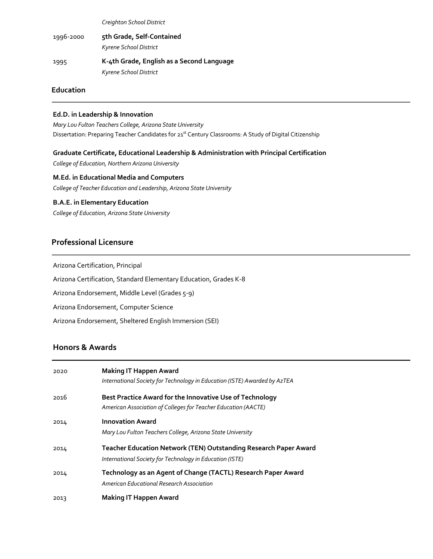*Creighton School District*

1996-2000 **5th Grade, Self-Contained** *Kyrene School District* 1995 **K-4th Grade, English as a Second Language** *Kyrene School District*

### **Education**

### **Ed.D. in Leadership & Innovation**

*Mary Lou Fulton Teachers College, Arizona State University* Dissertation: Preparing Teacher Candidates for 21<sup>st</sup> Century Classrooms: A Study of Digital Citizenship

### **Graduate Certificate, Educational Leadership & Administration with Principal Certification**

*College of Education, Northern Arizona University*

**M.Ed. in Educational Media and Computers** *College of Teacher Education and Leadership, Arizona State University*

### **B.A.E. in Elementary Education**

*College of Education, Arizona State University*

# **Professional Licensure**

Arizona Certification, Principal

Arizona Certification, Standard Elementary Education, Grades K-8

Arizona Endorsement, Middle Level (Grades 5-9)

Arizona Endorsement, Computer Science

Arizona Endorsement, Sheltered English Immersion (SEI)

# **Honors & Awards**

| 2020 | <b>Making IT Happen Award</b><br>International Society for Technology in Education (ISTE) Awarded by AzTEA                          |
|------|-------------------------------------------------------------------------------------------------------------------------------------|
| 2016 | Best Practice Award for the Innovative Use of Technology<br>American Association of Colleges for Teacher Education (AACTE)          |
| 2014 | <b>Innovation Award</b><br>Mary Lou Fulton Teachers College, Arizona State University                                               |
| 2014 | <b>Teacher Education Network (TEN) Outstanding Research Paper Award</b><br>International Society for Technology in Education (ISTE) |
| 2014 | Technology as an Agent of Change (TACTL) Research Paper Award<br>American Educational Research Association                          |
| 2013 | Making IT Happen Award                                                                                                              |